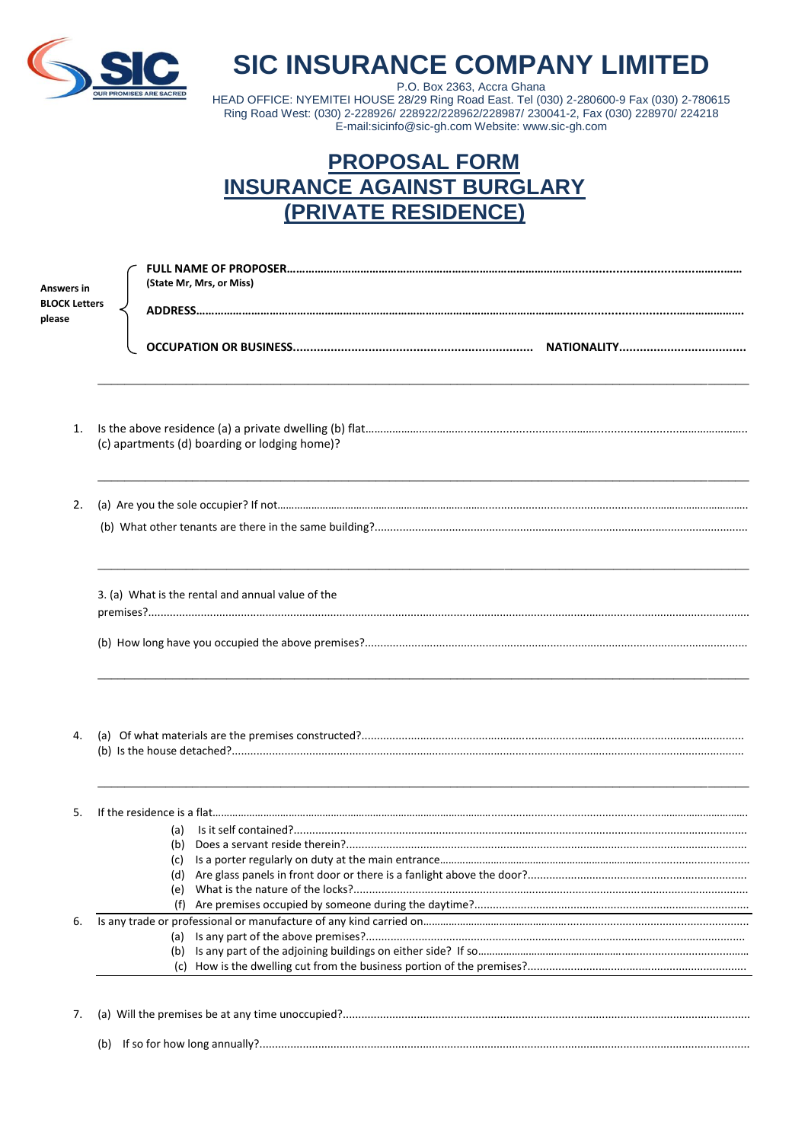

## **SIC INSURANCE COMPANY LIMITED**

P.O. Box 2363, Accra Ghana HEAD OFFICE: NYEMITEI HOUSE 28/29 Ring Road East. Tel (030) 2-280600-9 Fax (030) 2-780615 Ring Road West: (030) 2-228926/ 228922/228962/228987/ 230041-2, Fax (030) 228970/ 224218 E-mail:sicinfo@sic-gh.com Website: www.sic-gh.com

## **PROPOSAL FORM INSURANCE AGAINST BURGLARY** (PRIVATE RESIDENCE)

Answers i **BLOCK Le** please

| rs in<br><b>Letters</b> | (State Mr, Mrs, or Miss)                          |  |
|-------------------------|---------------------------------------------------|--|
|                         |                                                   |  |
| 1.                      | (c) apartments (d) boarding or lodging home)?     |  |
| 2.                      |                                                   |  |
|                         | 3. (a) What is the rental and annual value of the |  |
| 4.                      |                                                   |  |
| 5.                      | (a)<br>(e)                                        |  |
| 6.                      | (f)<br>(a)<br>(b)<br>(C)                          |  |